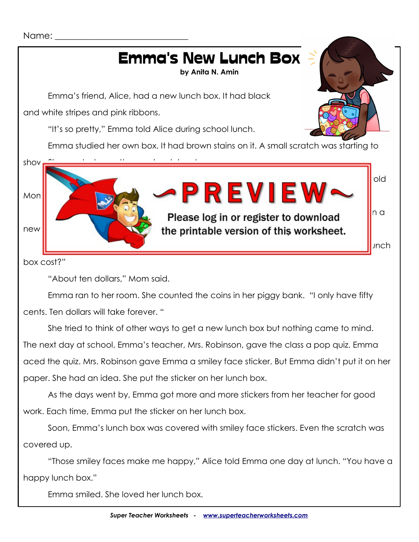

happy lunch box."

Emma smiled. She loved her lunch box.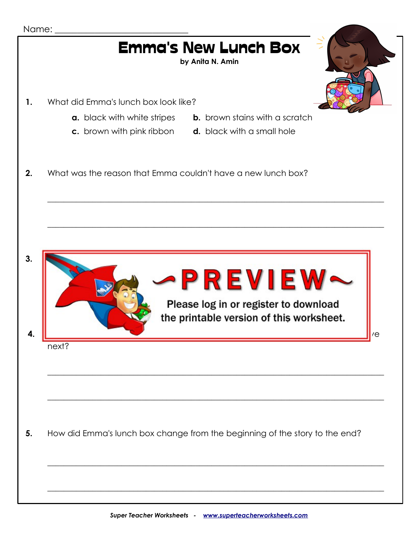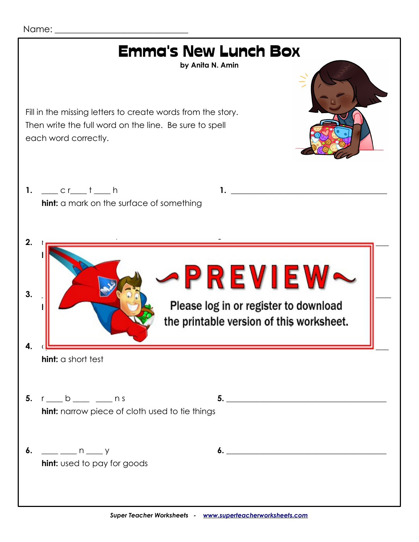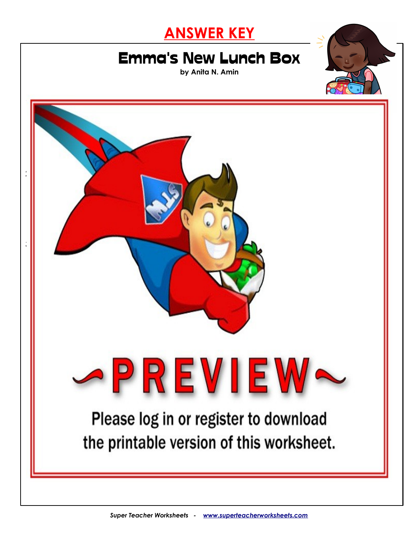